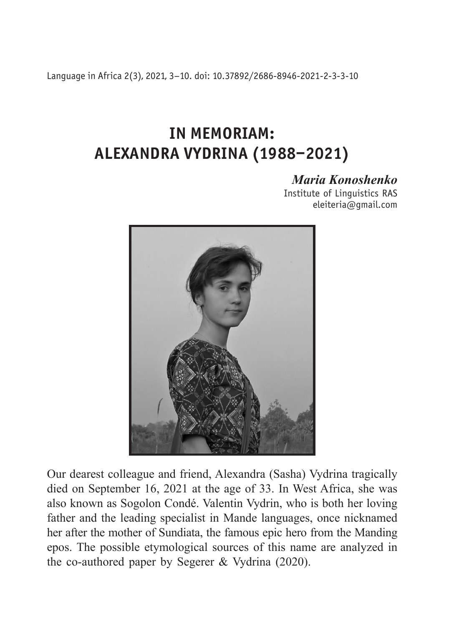Language in Africa 2(3), 2021, 3–10. doi: 10.37892/2686-8946-2021-2-3-3-10

## **IN MEMORIAM: ALEXANDRA VYDRINA (1988–2021)**

## *Maria Konoshenko*

Institute of Linguistics RAS eleiteria@gmail.com



Our dearest colleague and friend, Alexandra (Sasha) Vydrina tragically died on September 16, 2021 at the age of 33. In West Africa, she was also known as Sogolon Condé. Valentin Vydrin, who is both her loving father and the leading specialist in Mande languages, once nicknamed her after the mother of Sundiata, the famous epic hero from the Manding epos. The possible etymological sources of this name are analyzed in the co-authored paper by Segerer & Vydrina (2020).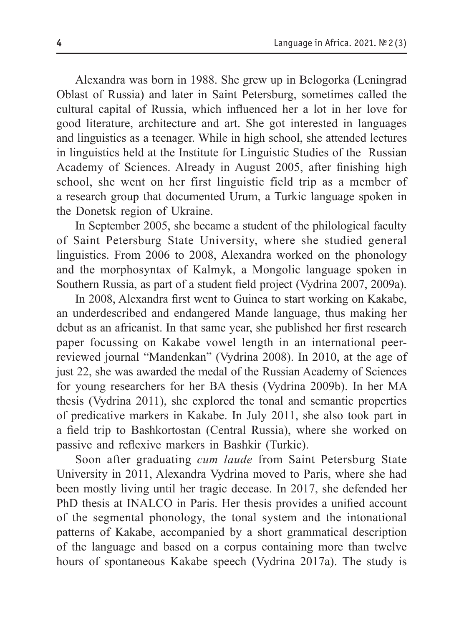Alexandra was born in 1988. She grew up in Belogorka (Leningrad Oblast of Russia) and later in Saint Petersburg, sometimes called the cultural capital of Russia, which influenced her a lot in her love for good literature, architecture and art. She got interested in languages and linguistics as a teenager. While in high school, she attended lectures in linguistics held at the Institute for Linguistic Studies of the Russian Academy of Sciences. Already in August 2005, after finishing high school, she went on her first linguistic field trip as a member of a research group that documented Urum, a Turkic language spoken in the Donetsk region of Ukraine.

In September 2005, she became a student of the philological faculty of Saint Petersburg State University, where she studied general linguistics. From 2006 to 2008, Alexandra worked on the phonology and the morphosyntax of Kalmyk, a Mongolic language spoken in Southern Russia, as part of a student field project (Vydrina 2007, 2009a).

In 2008, Alexandra first went to Guinea to start working on Kakabe, an underdescribed and endangered Mande language, thus making her debut as an africanist. In that same year, she published her first research paper focussing on Kakabe vowel length in an international peerreviewed journal "Mandenkan" (Vydrina 2008). In 2010, at the age of just 22, she was awarded the medal of the Russian Academy of Sciences for young researchers for her BA thesis (Vydrina 2009b). In her MA thesis (Vydrina 2011), she explored the tonal and semantic properties of predicative markers in Kakabe. In July 2011, she also took part in a field trip to Bashkortostan (Central Russia), where she worked on passive and reflexive markers in Bashkir (Turkic).

Soon after graduating *cum laude* from Saint Petersburg State University in 2011, Alexandra Vydrina moved to Paris, where she had been mostly living until her tragic decease. In 2017, she defended her PhD thesis at INALCO in Paris. Her thesis provides a unified account of the segmental phonology, the tonal system and the intonational patterns of Kakabe, accompanied by a short grammatical description of the language and based on a corpus containing more than twelve hours of spontaneous Kakabe speech (Vydrina 2017a). The study is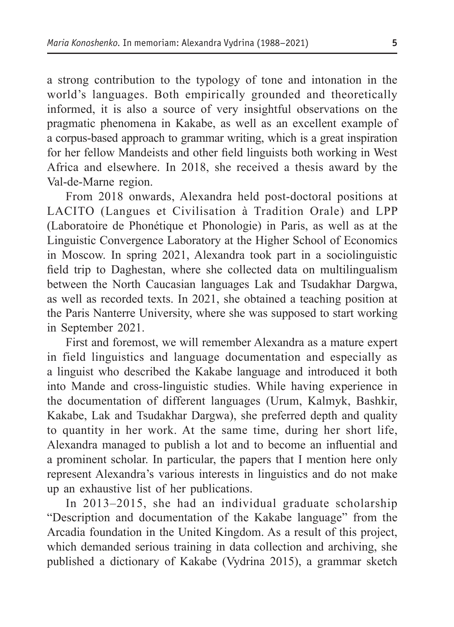a strong contribution to the typology of tone and intonation in the world's languages. Both empirically grounded and theoretically informed, it is also a source of very insightful observations on the pragmatic phenomena in Kakabe, as well as an excellent example of a corpus-based approach to grammar writing, which is a great inspiration for her fellow Mandeists and other field linguists both working in West Africa and elsewhere. In 2018, she received a thesis award by the Val-de-Marne region.

From 2018 onwards, Alexandra held post-doctoral positions at LACITO (Langues et Сivilisation à Tradition Orale) and LPP (Laboratoire de Phonétique et Phonologie) in Paris, as well as at the Linguistic Convergence Laboratory at the Higher School of Economics in Moscow. In spring 2021, Alexandra took part in a sociolinguistic field trip to Daghestan, where she collected data on multilingualism between the North Caucasian languages Lak and Tsudakhar Dargwa, as well as recorded texts. In 2021, she obtained a teaching position at the Paris Nanterre University, where she was supposed to start working in September 2021.

First and foremost, we will remember Alexandra as a mature expert in field linguistics and language documentation and especially as a linguist who described the Kakabe language and introduced it both into Mande and cross-linguistic studies. While having experience in the documentation of different languages (Urum, Kalmyk, Bashkir, Kakabe, Lak and Tsudakhar Dargwa), she preferred depth and quality to quantity in her work. At the same time, during her short life, Alexandra managed to publish a lot and to become an influential and a prominent scholar. In particular, the papers that I mention here only represent Alexandra's various interests in linguistics and do not make up an exhaustive list of her publications.

In 2013–2015, she had an individual graduate scholarship "Description and documentation of the Kakabe language" from the Arcadia foundation in the United Kingdom. As a result of this project, which demanded serious training in data collection and archiving, she published a dictionary of Kakabe (Vydrina 2015), a grammar sketch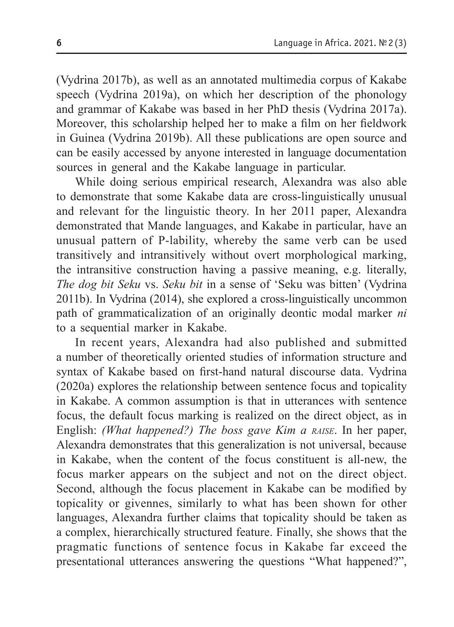(Vydrina 2017b), as well as an annotated multimedia corpus of Kakabe speech (Vydrina 2019a), on which her description of the phonology and grammar of Kakabe was based in her PhD thesis (Vydrina 2017a). Moreover, this scholarship helped her to make a film on her fieldwork in Guinea (Vydrina 2019b). All these publications are open source and can be easily accessed by anyone interested in language documentation sources in general and the Kakabe language in particular.

While doing serious empirical research, Alexandra was also able to demonstrate that some Kakabe data are cross-linguistically unusual and relevant for the linguistic theory. In her 2011 paper, Alexandra demonstrated that Mande languages, and Kakabe in particular, have an unusual pattern of P-lability, whereby the same verb can be used transitively and intransitively without overt morphological marking, the intransitive construction having a passive meaning, e.g. literally, *The dog bit Seku* vs. *Seku bit* in a sense of 'Seku was bitten' (Vydrina 2011b). In Vydrina (2014), she explored a cross-linguistically uncommon path of grammaticalization of an originally deontic modal marker *ni* to a sequential marker in Kakabe.

In recent years, Alexandra had also published and submitted a number of theoretically oriented studies of information structure and syntax of Kakabe based on first-hand natural discourse data. Vydrina (2020a) explores the relationship between sentence focus and topicality in Kakabe. A common assumption is that in utterances with sentence focus, the default focus marking is realized on the direct object, as in English: *(What happened?) The boss gave Kim a raise*. In her paper, Alexandra demonstrates that this generalization is not universal, because in Kakabe, when the content of the focus constituent is all-new, the focus marker appears on the subject and not on the direct object. Second, although the focus placement in Kakabe can be modified by topicality or givennes, similarly to what has been shown for other languages, Alexandra further claims that topicality should be taken as a complex, hierarchically structured feature. Finally, she shows that the pragmatic functions of sentence focus in Kakabe far exceed the presentational utterances answering the questions "What happened?",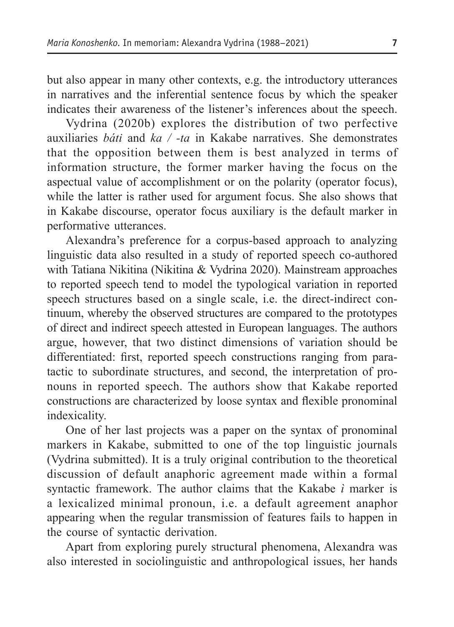but also appear in many other contexts, e.g. the introductory utterances in narratives and the inferential sentence focus by which the speaker indicates their awareness of the listener's inferences about the speech.

Vydrina (2020b) explores the distribution of two perfective auxiliaries *báti* and *ka / -ta* in Kakabe narratives. She demonstrates that the opposition between them is best analyzed in terms of information structure, the former marker having the focus on the aspectual value of accomplishment or on the polarity (operator focus), while the latter is rather used for argument focus. She also shows that in Kakabe discourse, operator focus auxiliary is the default marker in performative utterances.

Alexandra's preference for a corpus-based approach to analyzing linguistic data also resulted in a study of reported speech co-authored with Tatiana Nikitina (Nikitina & Vydrina 2020). Mainstream approaches to reported speech tend to model the typological variation in reported speech structures based on a single scale, i.e. the direct-indirect continuum, whereby the observed structures are compared to the prototypes of direct and indirect speech attested in European languages. The authors argue, however, that two distinct dimensions of variation should be differentiated: first, reported speech constructions ranging from paratactic to subordinate structures, and second, the interpretation of pronouns in reported speech. The authors show that Kakabe reported constructions are characterized by loose syntax and flexible pronominal indexicality.

One of her last projects was a paper on the syntax of pronominal markers in Kakabe, submitted to one of the top linguistic journals (Vydrina submitted). It is a truly original contribution to the theoretical discussion of default anaphoric agreement made within a formal syntactic framework. The author claims that the Kakabe *ì* marker is a lexicalized minimal pronoun, i.e. a default agreement anaphor appearing when the regular transmission of features fails to happen in the course of syntactic derivation.

Apart from exploring purely structural phenomena, Alexandra was also interested in sociolinguistic and anthropological issues, her hands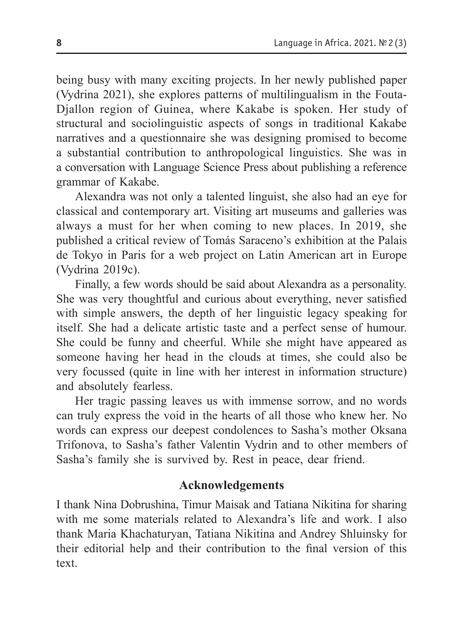being busy with many exciting projects. In her newly published paper (Vydrina 2021), she explores patterns of multilingualism in the Fouta-Djallon region of Guinea, where Kakabe is spoken. Her study of structural and sociolinguistic aspects of songs in traditional Kakabe narratives and a questionnaire she was designing promised to become a substantial contribution to аnthropological linguistics. She was in a conversation with Language Science Press about publishing a reference grammar of Kakabe.

Alexandra was not only a talented linguist, she also had an eye for classical and contemporary art. Visiting art museums and galleries was always a must for her when coming to new places. In 2019, she published a critical review of Tomás Saraceno's exhibition at the Palais de Tokyo in Paris for a web project on Latin American art in Europe (Vydrina 2019c).

Finally, a few words should be said about Alexandra as a personality. She was very thoughtful and curious about everything, never satisfied with simple answers, the depth of her linguistic legacy speaking for itself. She had a delicate artistic taste and a perfect sense of humour. She could be funny and cheerful. While she might have appeared as someone having her head in the clouds at times, she could also be very focussed (quite in line with her interest in information structure) and absolutely fearless.

Her tragic passing leaves us with immense sorrow, and no words can truly express the void in the hearts of all those who knew her. No words can express our deepest condolences to Sasha's mother Oksana Trifonova, to Sasha's father Valentin Vydrin and to other members of Sasha's family she is survived by. Rest in peace, dear friend.

## **Acknowledgements**

I thank Nina Dobrushina, Timur Maisak and Tatiana Nikitina for sharing with me some materials related to Alexandra's life and work. I also thank Maria Khachaturyan, Tatiana Nikitina and Andrey Shluinsky for their editorial help and their contribution to the final version of this text.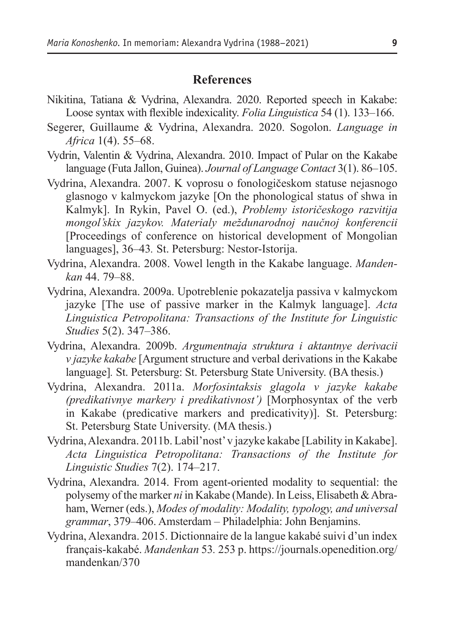## **References**

- Nikitina, Tatiana & Vydrina, Alexandra. 2020. Reported speech in Kakabe: Loose syntax with flexible indexicality. *Folia Linguistica* 54 (1). 133–166.
- Segerer, Guillaume & Vydrina, Alexandra. 2020. Sogolon. *Language in Africa* 1(4). 55–68.
- Vydrin, Valentin & Vydrina, Alexandra. 2010. Impact of Pular on the Kakabe language (Futa Jallon, Guinea). *Journal of Language Contact* 3(1). 86–105.
- Vydrina, Alexandra. 2007. K voprosu o fonologičeskom statuse nejasnogo glasnogo v kalmyckom jazyke [On the phonological status of shwa in Kalmyk]. In Rykin, Pavel O. (ed.), *Problemy istoričeskogo razvitija mongol'skix jazykov. Materialy meždunarodnoj naučnoj konferencii* [Proceedings of conference on historical development of Mongolian languages], 36–43*.* St. Petersburg: Nestor-Istorija.
- Vydrina, Alexandra. 2008. Vowel length in the Kakabe language. *Mandenkan* 44. 79–88.
- Vydrina, Alexandra. 2009a. Upotreblenie pokazatelja passiva v kalmyckom jazyke [The use of passive marker in the Kalmyk language]. *Acta Linguistica Petropolitana: Transactions of the Institute for Linguistic Studies* 5(2). 347–386.
- Vydrina, Alexandra. 2009b. *Argumentnaja struktura i aktantnye derivacii v jazyke kakabe* [Argument structure and verbal derivations in the Kakabe language]*.* St. Petersburg: St. Petersburg State University. (BA thesis.)
- Vydrina, Alexandra. 2011a. *Morfosintaksis glagola v jazyke kakabe (predikativnye markery i predikativnost')* [Morphosyntax of the verb in Kakabe (predicative markers and predicativity)]. St. Petersburg: St. Petersburg State University. (MA thesis.)
- Vydrina, Alexandra. 2011b. Labil'nost' v jazykе kakabe [Lability in Kakabe]. *Acta Linguistica Petropolitana: Transactions of the Institute for Linguistic Studies* 7(2). 174–217.
- Vydrina, Alexandra. 2014. From agent-oriented modality to sequential: the polysemy of the marker *ni* in Kakabe (Mande). In Leiss, Elisabeth & Abraham, Werner (eds.), *Modes of modality: Modality, typology, and universal grammar*, 379–406. Amsterdam – Philadelphia: John Benjamins.
- Vydrina, Alexandra. 2015. Dictionnaire de la langue kakabé suivi d'un index français-kakabé. *Mandenkan* 53*.* 253 p. https://journals.openedition.org/ mandenkan/370